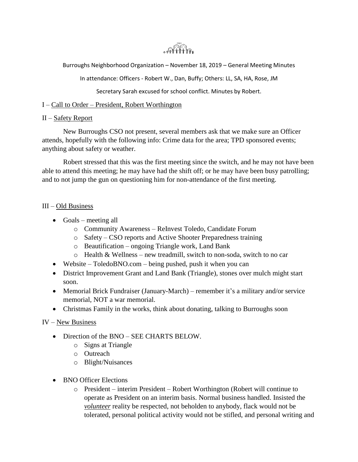

Burroughs Neighborhood Organization – November 18, 2019 – General Meeting Minutes

In attendance: Officers - Robert W., Dan, Buffy; Others: LL, SA, HA, Rose, JM

Secretary Sarah excused for school conflict. Minutes by Robert.

### I – Call to Order – President, Robert Worthington

#### II – Safety Report

New Burroughs CSO not present, several members ask that we make sure an Officer attends, hopefully with the following info: Crime data for the area; TPD sponsored events; anything about safety or weather.

Robert stressed that this was the first meeting since the switch, and he may not have been able to attend this meeting; he may have had the shift off; or he may have been busy patrolling; and to not jump the gun on questioning him for non-attendance of the first meeting.

#### III – Old Business

- Goals meeting all
	- o Community Awareness ReInvest Toledo, Candidate Forum
	- o Safety CSO reports and Active Shooter Preparedness training
	- o Beautification ongoing Triangle work, Land Bank
	- o Health & Wellness new treadmill, switch to non-soda, switch to no car
- Website ToledoBNO.com being pushed, push it when you can
- District Improvement Grant and Land Bank (Triangle), stones over mulch might start soon.
- Memorial Brick Fundraiser (January-March) remember it's a military and/or service memorial, NOT a war memorial.
- Christmas Family in the works, think about donating, talking to Burroughs soon

## IV – New Business

- Direction of the BNO SEE CHARTS BELOW.
	- o Signs at Triangle
	- o Outreach
	- o Blight/Nuisances
- BNO Officer Elections
	- o President interim President Robert Worthington (Robert will continue to operate as President on an interim basis. Normal business handled. Insisted the *volunteer* reality be respected, not beholden to anybody, flack would not be tolerated, personal political activity would not be stifled, and personal writing and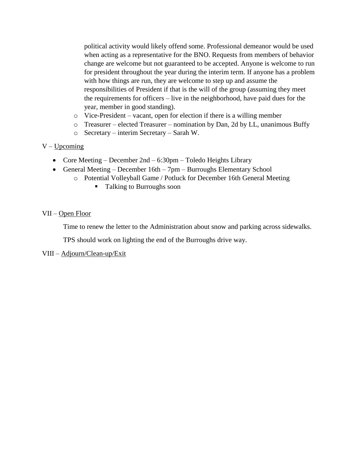political activity would likely offend some. Professional demeanor would be used when acting as a representative for the BNO. Requests from members of behavior change are welcome but not guaranteed to be accepted. Anyone is welcome to run for president throughout the year during the interim term. If anyone has a problem with how things are run, they are welcome to step up and assume the responsibilities of President if that is the will of the group (assuming they meet the requirements for officers – live in the neighborhood, have paid dues for the year, member in good standing).

- o Vice-President vacant, open for election if there is a willing member
- o Treasurer elected Treasurer nomination by Dan, 2d by LL, unanimous Buffy
- o Secretary interim Secretary Sarah W.

#### $V - Upcoming$

- Core Meeting December  $2nd 6:30pm$  Toledo Heights Library
- General Meeting December 16th 7pm Burroughs Elementary School
	- o Potential Volleyball Game / Potluck for December 16th General Meeting
		- Talking to Burroughs soon

#### VII – Open Floor

Time to renew the letter to the Administration about snow and parking across sidewalks.

TPS should work on lighting the end of the Burroughs drive way.

#### VIII – Adjourn/Clean-up/Exit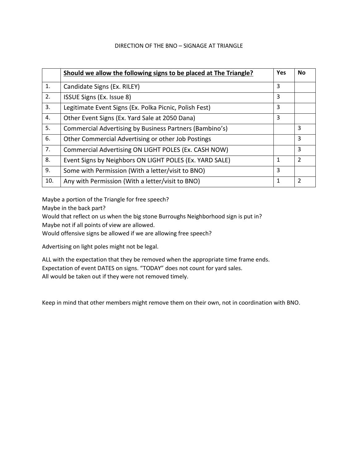#### DIRECTION OF THE BNO – SIGNAGE AT TRIANGLE

|     | Should we allow the following signs to be placed at The Triangle? | <b>Yes</b>   | <b>No</b>                |
|-----|-------------------------------------------------------------------|--------------|--------------------------|
| 1.  | Candidate Signs (Ex. RILEY)                                       | 3            |                          |
| 2.  | ISSUE Signs (Ex. Issue 8)                                         | 3            |                          |
| 3.  | Legitimate Event Signs (Ex. Polka Picnic, Polish Fest)            | 3            |                          |
| 4.  | Other Event Signs (Ex. Yard Sale at 2050 Dana)                    | 3            |                          |
| 5.  | Commercial Advertising by Business Partners (Bambino's)           |              | 3                        |
| 6.  | Other Commercial Advertising or other Job Postings                |              | 3                        |
| 7.  | Commercial Advertising ON LIGHT POLES (Ex. CASH NOW)              |              | 3                        |
| 8.  | Event Signs by Neighbors ON LIGHT POLES (Ex. YARD SALE)           | $\mathbf{1}$ | $\mathcal{P}$            |
| 9.  | Some with Permission (With a letter/visit to BNO)                 | 3            |                          |
| 10. | Any with Permission (With a letter/visit to BNO)                  | $\mathbf{1}$ | $\overline{\phantom{a}}$ |

Maybe a portion of the Triangle for free speech?

Maybe in the back part?

Would that reflect on us when the big stone Burroughs Neighborhood sign is put in? Maybe not if all points of view are allowed.

Would offensive signs be allowed if we are allowing free speech?

Advertising on light poles might not be legal.

ALL with the expectation that they be removed when the appropriate time frame ends. Expectation of event DATES on signs. "TODAY" does not count for yard sales. All would be taken out if they were not removed timely.

Keep in mind that other members might remove them on their own, not in coordination with BNO.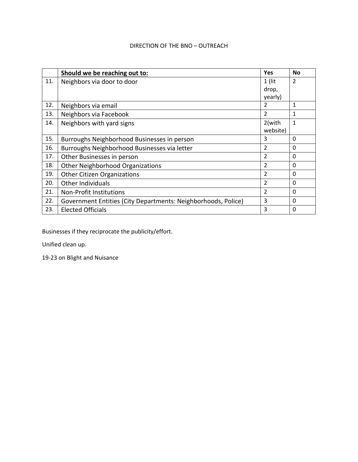## DIRECTION OF THE BNO – OUTREACH

|     | Should we be reaching out to:                                 | Yes            | <b>No</b>      |
|-----|---------------------------------------------------------------|----------------|----------------|
| 11. | Neighbors via door to door                                    | $1$ (lit       | $\overline{2}$ |
|     |                                                               | drop,          |                |
|     |                                                               | yearly)        |                |
| 12. | Neighbors via email                                           | 2              | 1              |
| 13. | Neighbors via Facebook                                        | $\overline{2}$ | 1              |
| 14. | Neighbors with yard signs                                     | 2(with         | 1              |
|     |                                                               | website)       |                |
| 15. | Burroughs Neighborhood Businesses in person                   | 3              | 0              |
| 16. | Burroughs Neighborhood Businesses via letter                  | $\mathfrak z$  | 0              |
| 17. | Other Businesses in person                                    | $\mathfrak z$  | 0              |
| 18. | <b>Other Neighborhood Organizations</b>                       | 2              | 0              |
| 19. | <b>Other Citizen Organizations</b>                            | $\overline{2}$ | $\Omega$       |
| 20. | Other Individuals                                             | $\mathfrak z$  | 0              |
| 21. | Non-Profit Institutions                                       | $\overline{2}$ | 0              |
| 22. | Government Entities (City Departments: Neighborhoods, Police) | 3              | 0              |
| 23. | <b>Elected Officials</b>                                      | 3              | $\Omega$       |

Businesses if they reciprocate the publicity/effort.

Unified clean up.

19-23 on Blight and Nuisance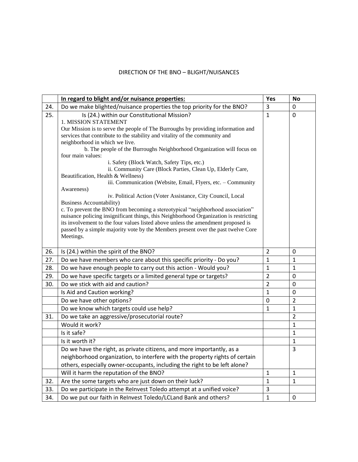# DIRECTION OF THE BNO – BLIGHT/NUISANCES

|     | In regard to blight and/or nuisance properties:                                                                                                                           | Yes            | <b>No</b>      |
|-----|---------------------------------------------------------------------------------------------------------------------------------------------------------------------------|----------------|----------------|
| 24. | Do we make blighted/nuisance properties the top priority for the BNO?                                                                                                     | 3              | 0              |
| 25. | Is (24.) within our Constitutional Mission?                                                                                                                               | $\mathbf{1}$   | 0              |
|     | 1. MISSION STATEMENT                                                                                                                                                      |                |                |
|     | Our Mission is to serve the people of The Burroughs by providing information and                                                                                          |                |                |
|     | services that contribute to the stability and vitality of the community and<br>neighborhood in which we live.                                                             |                |                |
|     | b. The people of the Burroughs Neighborhood Organization will focus on                                                                                                    |                |                |
|     | four main values:                                                                                                                                                         |                |                |
|     | i. Safety (Block Watch, Safety Tips, etc.)                                                                                                                                |                |                |
|     | ii. Community Care (Block Parties, Clean Up, Elderly Care,                                                                                                                |                |                |
|     | Beautification, Health & Wellness)<br>iii. Communication (Website, Email, Flyers, etc. - Community                                                                        |                |                |
|     | Awareness)                                                                                                                                                                |                |                |
|     | iv. Political Action (Voter Assistance, City Council, Local                                                                                                               |                |                |
|     | <b>Business Accountability)</b>                                                                                                                                           |                |                |
|     | c. To prevent the BNO from becoming a stereotypical "neighborhood association"                                                                                            |                |                |
|     | nuisance policing insignificant things, this Neighborhood Organization is restricting<br>its involvement to the four values listed above unless the amendment proposed is |                |                |
|     | passed by a simple majority vote by the Members present over the past twelve Core                                                                                         |                |                |
|     | Meetings.                                                                                                                                                                 |                |                |
|     |                                                                                                                                                                           |                |                |
| 26. | Is (24.) within the spirit of the BNO?                                                                                                                                    | 2              | 0              |
| 27. | Do we have members who care about this specific priority - Do you?                                                                                                        | $\mathbf{1}$   | $\mathbf{1}$   |
| 28. | Do we have enough people to carry out this action - Would you?                                                                                                            | 1              | $\mathbf{1}$   |
| 29. | Do we have specific targets or a limited general type or targets?                                                                                                         | $\overline{2}$ | 0              |
| 30. | Do we stick with aid and caution?                                                                                                                                         | $\overline{2}$ | 0              |
|     | Is Aid and Caution working?                                                                                                                                               | 1              | 0              |
|     | Do we have other options?                                                                                                                                                 | 0              | $\overline{2}$ |
|     | Do we know which targets could use help?                                                                                                                                  | $\mathbf{1}$   | $\mathbf{1}$   |
| 31. | Do we take an aggressive/prosecutorial route?                                                                                                                             |                | $\overline{2}$ |
|     | Would it work?                                                                                                                                                            |                | $\mathbf{1}$   |
|     | Is it safe?                                                                                                                                                               |                | $\mathbf{1}$   |
|     | Is it worth it?                                                                                                                                                           |                | $\mathbf{1}$   |
|     | Do we have the right, as private citizens, and more importantly, as a                                                                                                     |                | 3              |
|     | neighborhood organization, to interfere with the property rights of certain                                                                                               |                |                |
|     | others, especially owner-occupants, including the right to be left alone?                                                                                                 |                |                |
|     | Will it harm the reputation of the BNO?                                                                                                                                   | $\mathbf{1}$   | $\mathbf{1}$   |
| 32. | Are the some targets who are just down on their luck?                                                                                                                     | $\mathbf{1}$   | $\mathbf{1}$   |
| 33. | Do we participate in the Relnvest Toledo attempt at a unified voice?                                                                                                      | 3              |                |
| 34. | Do we put our faith in ReInvest Toledo/LCLand Bank and others?                                                                                                            | $\mathbf{1}$   | 0              |